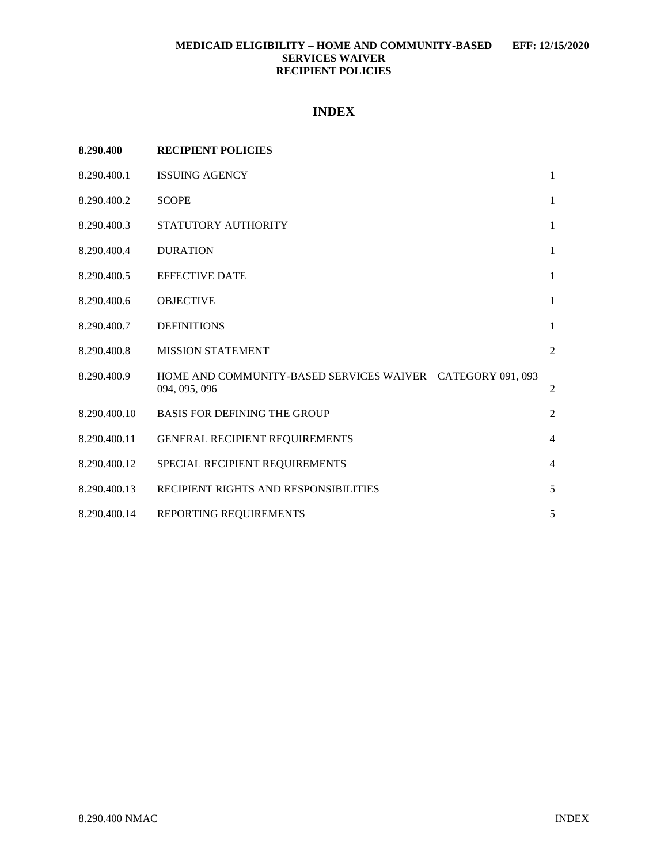# **INDEX**

| 8.290.400    | <b>RECIPIENT POLICIES</b>                                                     |                |
|--------------|-------------------------------------------------------------------------------|----------------|
| 8.290.400.1  | <b>ISSUING AGENCY</b>                                                         | $\mathbf{1}$   |
| 8.290.400.2  | <b>SCOPE</b>                                                                  | $\mathbf{1}$   |
| 8.290.400.3  | STATUTORY AUTHORITY                                                           | $\mathbf{1}$   |
| 8.290.400.4  | <b>DURATION</b>                                                               | $\mathbf{1}$   |
| 8.290.400.5  | <b>EFFECTIVE DATE</b>                                                         | $\mathbf{1}$   |
| 8.290.400.6  | <b>OBJECTIVE</b>                                                              | $\mathbf{1}$   |
| 8.290.400.7  | <b>DEFINITIONS</b>                                                            | $\mathbf{1}$   |
| 8.290.400.8  | <b>MISSION STATEMENT</b>                                                      | $\overline{2}$ |
| 8.290.400.9  | HOME AND COMMUNITY-BASED SERVICES WAIVER - CATEGORY 091, 093<br>094, 095, 096 | 2              |
| 8.290.400.10 | <b>BASIS FOR DEFINING THE GROUP</b>                                           | $\overline{2}$ |
| 8.290.400.11 | <b>GENERAL RECIPIENT REQUIREMENTS</b>                                         | $\overline{4}$ |
| 8.290.400.12 | SPECIAL RECIPIENT REQUIREMENTS                                                | $\overline{4}$ |
| 8.290.400.13 | RECIPIENT RIGHTS AND RESPONSIBILITIES                                         | 5              |
| 8.290.400.14 | REPORTING REQUIREMENTS                                                        | 5              |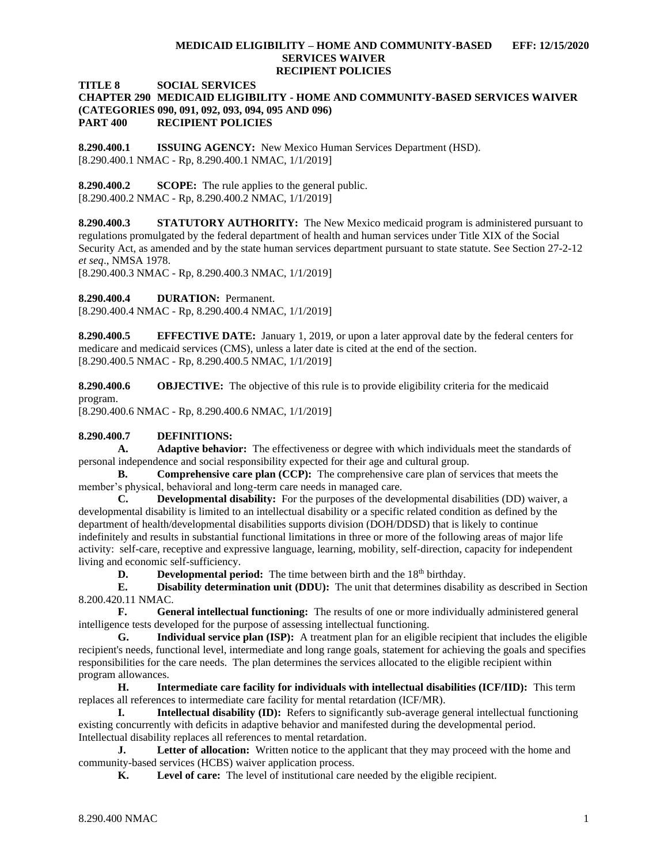## **TITLE 8 SOCIAL SERVICES**

## **CHAPTER 290 MEDICAID ELIGIBILITY - HOME AND COMMUNITY-BASED SERVICES WAIVER (CATEGORIES 090, 091, 092, 093, 094, 095 AND 096) PART 400 RECIPIENT POLICIES**

<span id="page-1-0"></span>**8.290.400.1 ISSUING AGENCY:** New Mexico Human Services Department (HSD). [8.290.400.1 NMAC - Rp, 8.290.400.1 NMAC, 1/1/2019]

<span id="page-1-1"></span>**8.290.400.2 SCOPE:** The rule applies to the general public. [8.290.400.2 NMAC - Rp, 8.290.400.2 NMAC, 1/1/2019]

<span id="page-1-2"></span>**8.290.400.3 STATUTORY AUTHORITY:** The New Mexico medicaid program is administered pursuant to regulations promulgated by the federal department of health and human services under Title XIX of the Social Security Act, as amended and by the state human services department pursuant to state statute. See Section 27-2-12 *et seq*., NMSA 1978.

[8.290.400.3 NMAC - Rp, 8.290.400.3 NMAC, 1/1/2019]

<span id="page-1-3"></span>**8.290.400.4 DURATION:** Permanent.

[8.290.400.4 NMAC - Rp, 8.290.400.4 NMAC, 1/1/2019]

<span id="page-1-4"></span>**8.290.400.5 EFFECTIVE DATE:** January 1, 2019, or upon a later approval date by the federal centers for medicare and medicaid services (CMS), unless a later date is cited at the end of the section. [8.290.400.5 NMAC - Rp, 8.290.400.5 NMAC, 1/1/2019]

<span id="page-1-5"></span>**8.290.400.6 OBJECTIVE:** The objective of this rule is to provide eligibility criteria for the medicaid program.

[8.290.400.6 NMAC - Rp, 8.290.400.6 NMAC, 1/1/2019]

#### <span id="page-1-6"></span>**8.290.400.7 DEFINITIONS:**

**A. Adaptive behavior:** The effectiveness or degree with which individuals meet the standards of personal independence and social responsibility expected for their age and cultural group.

**B. Comprehensive care plan (CCP):** The comprehensive care plan of services that meets the member's physical, behavioral and long-term care needs in managed care.

**C. Developmental disability:** For the purposes of the developmental disabilities (DD) waiver, a developmental disability is limited to an intellectual disability or a specific related condition as defined by the department of health/developmental disabilities supports division (DOH/DDSD) that is likely to continue indefinitely and results in substantial functional limitations in three or more of the following areas of major life activity: self-care, receptive and expressive language, learning, mobility, self-direction, capacity for independent living and economic self-sufficiency.

**D. Developmental period:** The time between birth and the 18<sup>th</sup> birthday.

**E. Disability determination unit (DDU):** The unit that determines disability as described in Section 8.200.420.11 NMAC.

**F. General intellectual functioning:** The results of one or more individually administered general intelligence tests developed for the purpose of assessing intellectual functioning.

**G. Individual service plan (ISP):** A treatment plan for an eligible recipient that includes the eligible recipient's needs, functional level, intermediate and long range goals, statement for achieving the goals and specifies responsibilities for the care needs. The plan determines the services allocated to the eligible recipient within program allowances.

**H. Intermediate care facility for individuals with intellectual disabilities (ICF/IID):** This term replaces all references to intermediate care facility for mental retardation (ICF/MR).

**I. Intellectual disability (ID):** Refers to significantly sub-average general intellectual functioning existing concurrently with deficits in adaptive behavior and manifested during the developmental period. Intellectual disability replaces all references to mental retardation.

**J. Letter of allocation:** Written notice to the applicant that they may proceed with the home and community-based services (HCBS) waiver application process.

**K. Level of care:** The level of institutional care needed by the eligible recipient.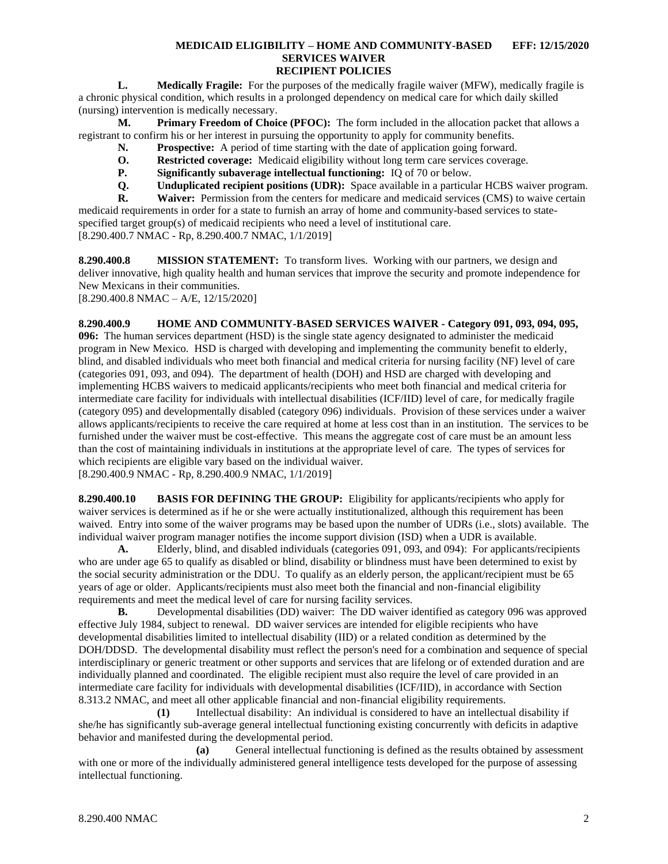**L. Medically Fragile:** For the purposes of the medically fragile waiver (MFW), medically fragile is a chronic physical condition, which results in a prolonged dependency on medical care for which daily skilled (nursing) intervention is medically necessary.

**M. Primary Freedom of Choice (PFOC):** The form included in the allocation packet that allows a registrant to confirm his or her interest in pursuing the opportunity to apply for community benefits.

- **N. Prospective:** A period of time starting with the date of application going forward.
- **O. Restricted coverage:** Medicaid eligibility without long term care services coverage.
- **P. Significantly subaverage intellectual functioning:** IQ of 70 or below.
- **Q. Unduplicated recipient positions (UDR):** Space available in a particular HCBS waiver program.<br>**R. Waiver:** Permission from the centers for medicare and medicaid services (CMS) to waive certain

**R. Waiver:** Permission from the centers for medicare and medicaid services (CMS) to waive certain medicaid requirements in order for a state to furnish an array of home and community-based services to statespecified target group(s) of medicaid recipients who need a level of institutional care. [8.290.400.7 NMAC - Rp, 8.290.400.7 NMAC, 1/1/2019]

<span id="page-2-0"></span>**8.290.400.8 MISSION STATEMENT:** To transform lives. Working with our partners, we design and deliver innovative, high quality health and human services that improve the security and promote independence for New Mexicans in their communities. [8.290.400.8 NMAC – A/E, 12/15/2020]

<span id="page-2-1"></span>**8.290.400.9 HOME AND COMMUNITY-BASED SERVICES WAIVER - Category 091, 093, 094, 095, 096:** The human services department (HSD) is the single state agency designated to administer the medicaid program in New Mexico. HSD is charged with developing and implementing the community benefit to elderly, blind, and disabled individuals who meet both financial and medical criteria for nursing facility (NF) level of care (categories 091, 093, and 094). The department of health (DOH) and HSD are charged with developing and implementing HCBS waivers to medicaid applicants/recipients who meet both financial and medical criteria for intermediate care facility for individuals with intellectual disabilities (ICF/IID) level of care, for medically fragile (category 095) and developmentally disabled (category 096) individuals. Provision of these services under a waiver allows applicants/recipients to receive the care required at home at less cost than in an institution. The services to be furnished under the waiver must be cost-effective. This means the aggregate cost of care must be an amount less than the cost of maintaining individuals in institutions at the appropriate level of care. The types of services for which recipients are eligible vary based on the individual waiver.

[8.290.400.9 NMAC - Rp, 8.290.400.9 NMAC, 1/1/2019]

<span id="page-2-2"></span>**8.290.400.10 BASIS FOR DEFINING THE GROUP:** Eligibility for applicants/recipients who apply for waiver services is determined as if he or she were actually institutionalized, although this requirement has been waived. Entry into some of the waiver programs may be based upon the number of UDRs (i.e., slots) available. The individual waiver program manager notifies the income support division (ISD) when a UDR is available.

**A.** Elderly, blind, and disabled individuals (categories 091, 093, and 094): For applicants/recipients who are under age 65 to qualify as disabled or blind, disability or blindness must have been determined to exist by the social security administration or the DDU. To qualify as an elderly person, the applicant/recipient must be 65 years of age or older. Applicants/recipients must also meet both the financial and non-financial eligibility requirements and meet the medical level of care for nursing facility services.

**B.** Developmental disabilities (DD) waiver: The DD waiver identified as category 096 was approved effective July 1984, subject to renewal. DD waiver services are intended for eligible recipients who have developmental disabilities limited to intellectual disability (IID) or a related condition as determined by the DOH/DDSD. The developmental disability must reflect the person's need for a combination and sequence of special interdisciplinary or generic treatment or other supports and services that are lifelong or of extended duration and are individually planned and coordinated. The eligible recipient must also require the level of care provided in an intermediate care facility for individuals with developmental disabilities (ICF/IID), in accordance with Section 8.313.2 NMAC, and meet all other applicable financial and non-financial eligibility requirements.

**(1)** Intellectual disability: An individual is considered to have an intellectual disability if she/he has significantly sub-average general intellectual functioning existing concurrently with deficits in adaptive behavior and manifested during the developmental period.

**(a)** General intellectual functioning is defined as the results obtained by assessment with one or more of the individually administered general intelligence tests developed for the purpose of assessing intellectual functioning.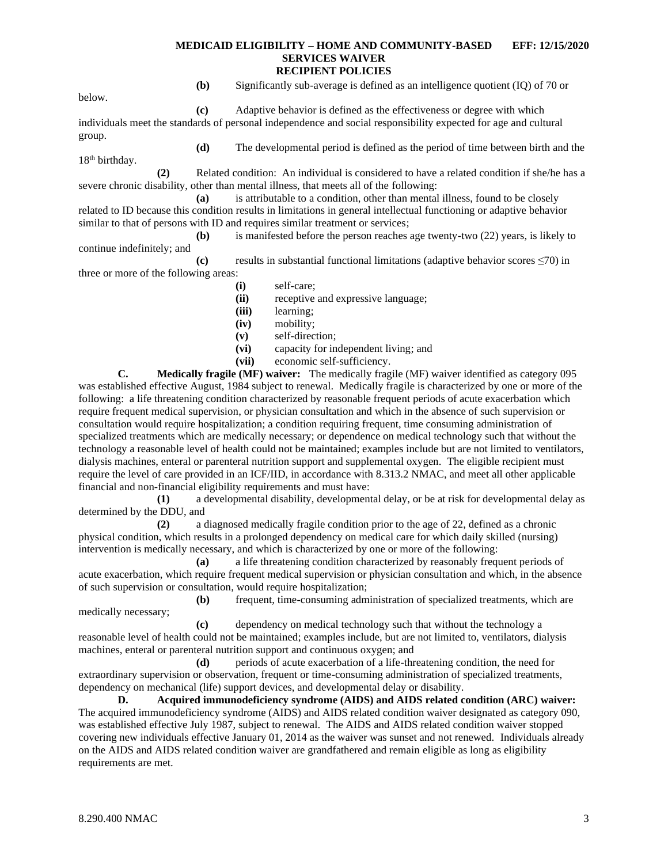below.

**(b)** Significantly sub-average is defined as an intelligence quotient (IQ) of 70 or

**(c)** Adaptive behavior is defined as the effectiveness or degree with which individuals meet the standards of personal independence and social responsibility expected for age and cultural group.

**(d)** The developmental period is defined as the period of time between birth and the 18<sup>th</sup> birthday.

**(2)** Related condition: An individual is considered to have a related condition if she/he has a severe chronic disability, other than mental illness, that meets all of the following:

**(a)** is attributable to a condition, other than mental illness, found to be closely related to ID because this condition results in limitations in general intellectual functioning or adaptive behavior similar to that of persons with ID and requires similar treatment or services;

**(b)** is manifested before the person reaches age twenty-two (22) years, is likely to continue indefinitely; and

**(c)** results in substantial functional limitations (adaptive behavior scores ≤70) in three or more of the following areas:

- **(i)** self-care;
	- **(ii)** receptive and expressive language;
	- **(iii)** learning;
	- **(iv)** mobility;
	- **(v)** self-direction;
	- **(vi)** capacity for independent living; and
	- **(vii)** economic self-sufficiency.

**C. Medically fragile (MF) waiver:** The medically fragile (MF) waiver identified as category 095 was established effective August, 1984 subject to renewal. Medically fragile is characterized by one or more of the following: a life threatening condition characterized by reasonable frequent periods of acute exacerbation which require frequent medical supervision, or physician consultation and which in the absence of such supervision or consultation would require hospitalization; a condition requiring frequent, time consuming administration of specialized treatments which are medically necessary; or dependence on medical technology such that without the technology a reasonable level of health could not be maintained; examples include but are not limited to ventilators, dialysis machines, enteral or parenteral nutrition support and supplemental oxygen. The eligible recipient must require the level of care provided in an ICF/IID, in accordance with 8.313.2 NMAC, and meet all other applicable financial and non-financial eligibility requirements and must have:

**(1)** a developmental disability, developmental delay, or be at risk for developmental delay as determined by the DDU, and

**(2)** a diagnosed medically fragile condition prior to the age of 22, defined as a chronic physical condition, which results in a prolonged dependency on medical care for which daily skilled (nursing) intervention is medically necessary, and which is characterized by one or more of the following:

**(a)** a life threatening condition characterized by reasonably frequent periods of acute exacerbation, which require frequent medical supervision or physician consultation and which, in the absence of such supervision or consultation, would require hospitalization;

**(b)** frequent, time-consuming administration of specialized treatments, which are medically necessary;

**(c)** dependency on medical technology such that without the technology a reasonable level of health could not be maintained; examples include, but are not limited to, ventilators, dialysis machines, enteral or parenteral nutrition support and continuous oxygen; and

**(d)** periods of acute exacerbation of a life-threatening condition, the need for extraordinary supervision or observation, frequent or time-consuming administration of specialized treatments, dependency on mechanical (life) support devices, and developmental delay or disability.

**D. Acquired immunodeficiency syndrome (AIDS) and AIDS related condition (ARC) waiver:** The acquired immunodeficiency syndrome (AIDS) and AIDS related condition waiver designated as category 090, was established effective July 1987, subject to renewal. The AIDS and AIDS related condition waiver stopped covering new individuals effective January 01, 2014 as the waiver was sunset and not renewed. Individuals already on the AIDS and AIDS related condition waiver are grandfathered and remain eligible as long as eligibility requirements are met.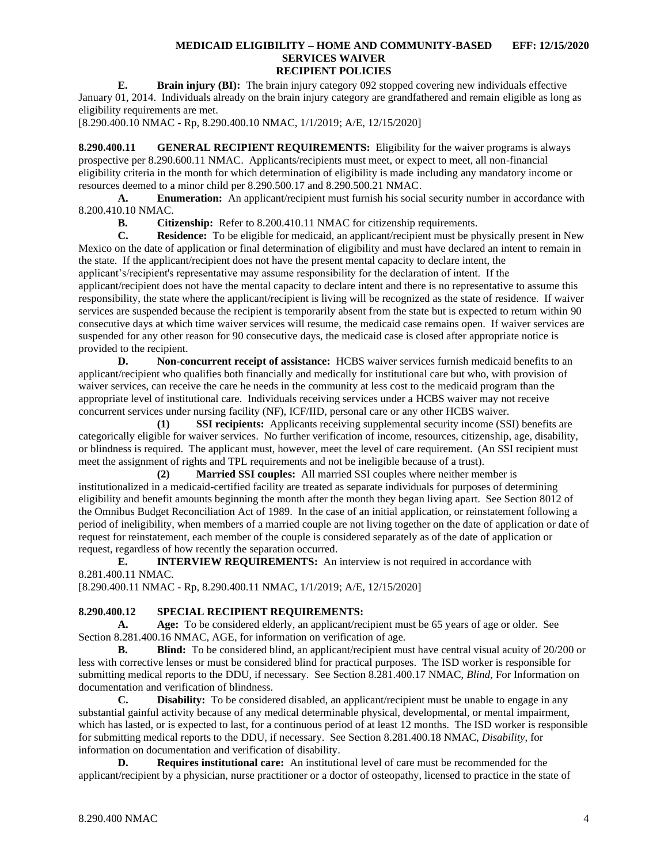**E. Brain injury (BI):** The brain injury category 092 stopped covering new individuals effective January 01, 2014. Individuals already on the brain injury category are grandfathered and remain eligible as long as eligibility requirements are met.

[8.290.400.10 NMAC - Rp, 8.290.400.10 NMAC, 1/1/2019; A/E, 12/15/2020]

<span id="page-4-0"></span>**8.290.400.11 GENERAL RECIPIENT REQUIREMENTS:** Eligibility for the waiver programs is always prospective per 8.290.600.11 NMAC. Applicants/recipients must meet, or expect to meet, all non-financial eligibility criteria in the month for which determination of eligibility is made including any mandatory income or resources deemed to a minor child per 8.290.500.17 and 8.290.500.21 NMAC.

**A. Enumeration:** An applicant/recipient must furnish his social security number in accordance with 8.200.410.10 NMAC.

**B. Citizenship:** Refer to 8.200.410.11 NMAC for citizenship requirements.

**C. Residence:** To be eligible for medicaid, an applicant/recipient must be physically present in New Mexico on the date of application or final determination of eligibility and must have declared an intent to remain in the state. If the applicant/recipient does not have the present mental capacity to declare intent, the applicant's/recipient's representative may assume responsibility for the declaration of intent. If the applicant/recipient does not have the mental capacity to declare intent and there is no representative to assume this responsibility, the state where the applicant/recipient is living will be recognized as the state of residence. If waiver services are suspended because the recipient is temporarily absent from the state but is expected to return within 90 consecutive days at which time waiver services will resume, the medicaid case remains open. If waiver services are suspended for any other reason for 90 consecutive days, the medicaid case is closed after appropriate notice is provided to the recipient.

**D. Non-concurrent receipt of assistance:** HCBS waiver services furnish medicaid benefits to an applicant/recipient who qualifies both financially and medically for institutional care but who, with provision of waiver services, can receive the care he needs in the community at less cost to the medicaid program than the appropriate level of institutional care. Individuals receiving services under a HCBS waiver may not receive concurrent services under nursing facility (NF), ICF/IID, personal care or any other HCBS waiver.

**(1) SSI recipients:** Applicants receiving supplemental security income (SSI) benefits are categorically eligible for waiver services. No further verification of income, resources, citizenship, age, disability, or blindness is required. The applicant must, however, meet the level of care requirement. (An SSI recipient must meet the assignment of rights and TPL requirements and not be ineligible because of a trust).

**(2) Married SSI couples:** All married SSI couples where neither member is institutionalized in a medicaid-certified facility are treated as separate individuals for purposes of determining eligibility and benefit amounts beginning the month after the month they began living apart. See Section 8012 of the Omnibus Budget Reconciliation Act of 1989. In the case of an initial application, or reinstatement following a period of ineligibility, when members of a married couple are not living together on the date of application or date of request for reinstatement, each member of the couple is considered separately as of the date of application or request, regardless of how recently the separation occurred.

**E. INTERVIEW REQUIREMENTS:** An interview is not required in accordance with 8.281.400.11 NMAC.

[8.290.400.11 NMAC - Rp, 8.290.400.11 NMAC, 1/1/2019; A/E, 12/15/2020]

# <span id="page-4-1"></span>**8.290.400.12 SPECIAL RECIPIENT REQUIREMENTS:**

**A. Age:** To be considered elderly, an applicant/recipient must be 65 years of age or older. See Section 8.281.400.16 NMAC, AGE, for information on verification of age.

**B. Blind:** To be considered blind, an applicant/recipient must have central visual acuity of 20/200 or less with corrective lenses or must be considered blind for practical purposes. The ISD worker is responsible for submitting medical reports to the DDU, if necessary. See Section 8.281.400.17 NMAC, *Blind*, For Information on documentation and verification of blindness.

**C. Disability:** To be considered disabled, an applicant/recipient must be unable to engage in any substantial gainful activity because of any medical determinable physical, developmental, or mental impairment, which has lasted, or is expected to last, for a continuous period of at least 12 months. The ISD worker is responsible for submitting medical reports to the DDU, if necessary. See Section 8.281.400.18 NMAC, *Disability*, for information on documentation and verification of disability.

**D. Requires institutional care:** An institutional level of care must be recommended for the applicant/recipient by a physician, nurse practitioner or a doctor of osteopathy, licensed to practice in the state of